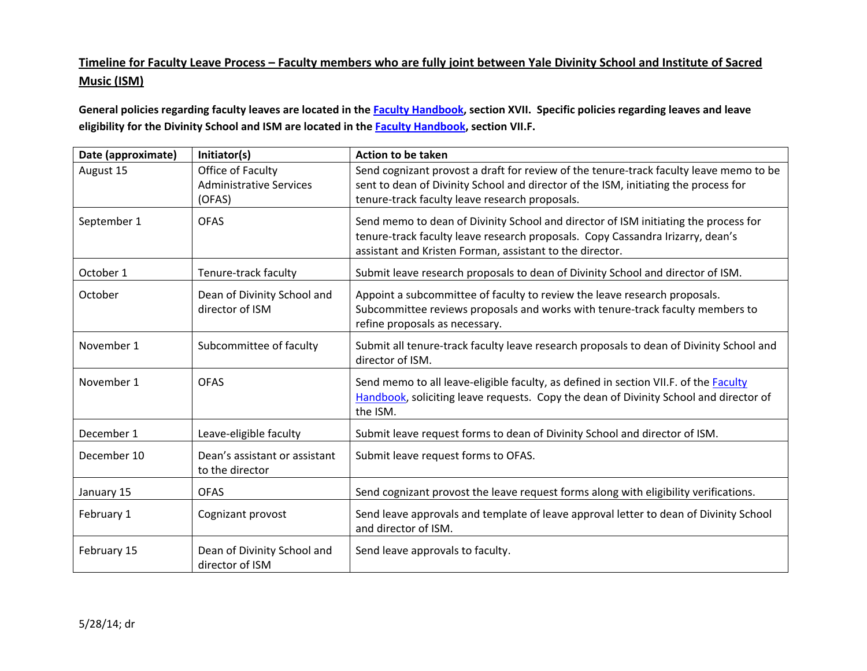## <u>Timeline for Faculty Leave Process – Faculty members who are fully joint between Yale Divinity School and Institute of Sacred</u> **Music (ISM)**

General policies regarding faculty leaves are located in the <u>Faculty Handbook</u>, section XVII. Specific policies regarding leaves and leave **eligibility for the Divinity School and ISM are located in the Faculty Handbook, section VII.F.**

| Date (approximate) | Initiator(s)                                                  | <b>Action to be taken</b>                                                                                                                                                                                                         |
|--------------------|---------------------------------------------------------------|-----------------------------------------------------------------------------------------------------------------------------------------------------------------------------------------------------------------------------------|
| August 15          | Office of Faculty<br><b>Administrative Services</b><br>(OFAS) | Send cognizant provost a draft for review of the tenure-track faculty leave memo to be<br>sent to dean of Divinity School and director of the ISM, initiating the process for<br>tenure-track faculty leave research proposals.   |
| September 1        | <b>OFAS</b>                                                   | Send memo to dean of Divinity School and director of ISM initiating the process for<br>tenure-track faculty leave research proposals. Copy Cassandra Irizarry, dean's<br>assistant and Kristen Forman, assistant to the director. |
| October 1          | Tenure-track faculty                                          | Submit leave research proposals to dean of Divinity School and director of ISM.                                                                                                                                                   |
| October            | Dean of Divinity School and<br>director of ISM                | Appoint a subcommittee of faculty to review the leave research proposals.<br>Subcommittee reviews proposals and works with tenure-track faculty members to<br>refine proposals as necessary.                                      |
| November 1         | Subcommittee of faculty                                       | Submit all tenure-track faculty leave research proposals to dean of Divinity School and<br>director of ISM.                                                                                                                       |
| November 1         | <b>OFAS</b>                                                   | Send memo to all leave-eligible faculty, as defined in section VII.F. of the Faculty<br>Handbook, soliciting leave requests. Copy the dean of Divinity School and director of<br>the ISM.                                         |
| December 1         | Leave-eligible faculty                                        | Submit leave request forms to dean of Divinity School and director of ISM.                                                                                                                                                        |
| December 10        | Dean's assistant or assistant<br>to the director              | Submit leave request forms to OFAS.                                                                                                                                                                                               |
| January 15         | <b>OFAS</b>                                                   | Send cognizant provost the leave request forms along with eligibility verifications.                                                                                                                                              |
| February 1         | Cognizant provost                                             | Send leave approvals and template of leave approval letter to dean of Divinity School<br>and director of ISM.                                                                                                                     |
| February 15        | Dean of Divinity School and<br>director of ISM                | Send leave approvals to faculty.                                                                                                                                                                                                  |